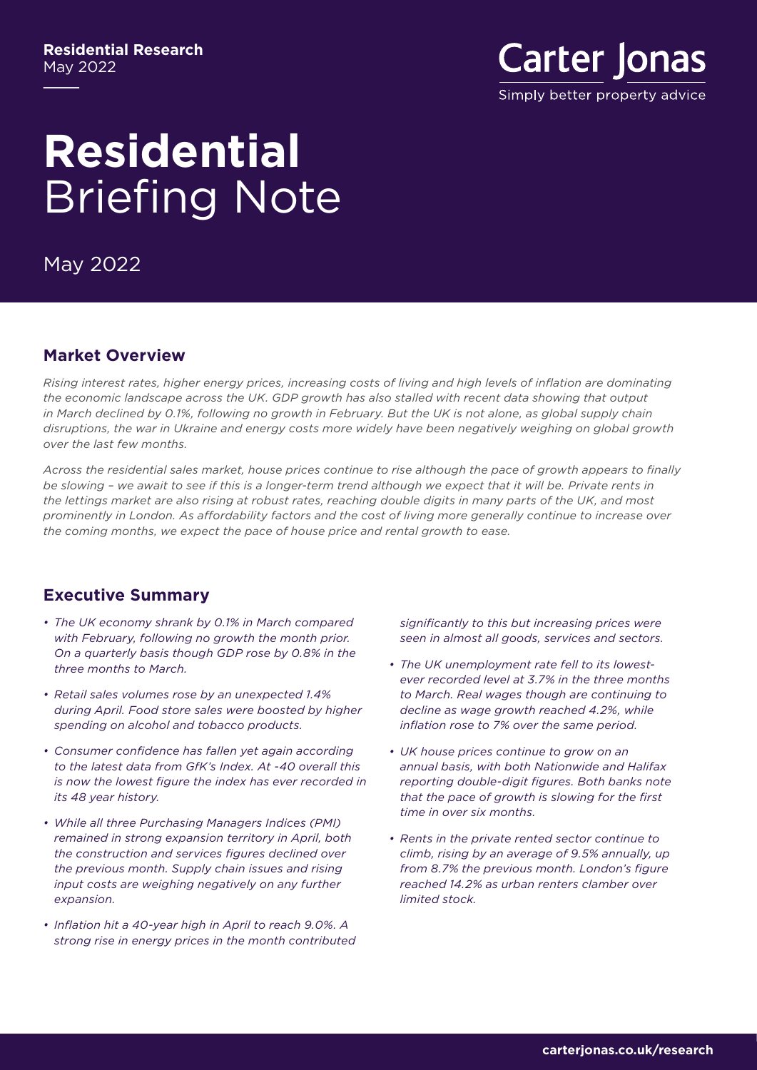#### **Residential Research** May 2022



# **Residential**  Briefing Note

May 2022

#### **Market Overview**

*Rising interest rates, higher energy prices, increasing costs of living and high levels of inflation are dominating the economic landscape across the UK. GDP growth has also stalled with recent data showing that output in March declined by 0.1%, following no growth in February. But the UK is not alone, as global supply chain disruptions, the war in Ukraine and energy costs more widely have been negatively weighing on global growth over the last few months.* 

*Across the residential sales market, house prices continue to rise although the pace of growth appears to finally*  be slowing - we await to see if this is a longer-term trend although we expect that it will be. Private rents in *the lettings market are also rising at robust rates, reaching double digits in many parts of the UK, and most prominently in London. As affordability factors and the cost of living more generally continue to increase over the coming months, we expect the pace of house price and rental growth to ease.*

## **Executive Summary**

- *• The UK economy shrank by 0.1% in March compared with February, following no growth the month prior. On a quarterly basis though GDP rose by 0.8% in the three months to March.*
- *• Retail sales volumes rose by an unexpected 1.4% during April. Food store sales were boosted by higher spending on alcohol and tobacco products.*
- *• Consumer confidence has fallen yet again according to the latest data from GfK's Index. At -40 overall this is now the lowest figure the index has ever recorded in its 48 year history.*
- *• While all three Purchasing Managers Indices (PMI) remained in strong expansion territory in April, both the construction and services figures declined over the previous month. Supply chain issues and rising input costs are weighing negatively on any further expansion.*
- *• Inflation hit a 40-year high in April to reach 9.0%. A strong rise in energy prices in the month contributed*

*significantly to this but increasing prices were seen in almost all goods, services and sectors.* 

- *• The UK unemployment rate fell to its lowestever recorded level at 3.7% in the three months to March. Real wages though are continuing to decline as wage growth reached 4.2%, while inflation rose to 7% over the same period.*
- *• UK house prices continue to grow on an annual basis, with both Nationwide and Halifax reporting double-digit figures. Both banks note that the pace of growth is slowing for the first time in over six months.*
- *• Rents in the private rented sector continue to climb, rising by an average of 9.5% annually, up from 8.7% the previous month. London's figure reached 14.2% as urban renters clamber over limited stock.*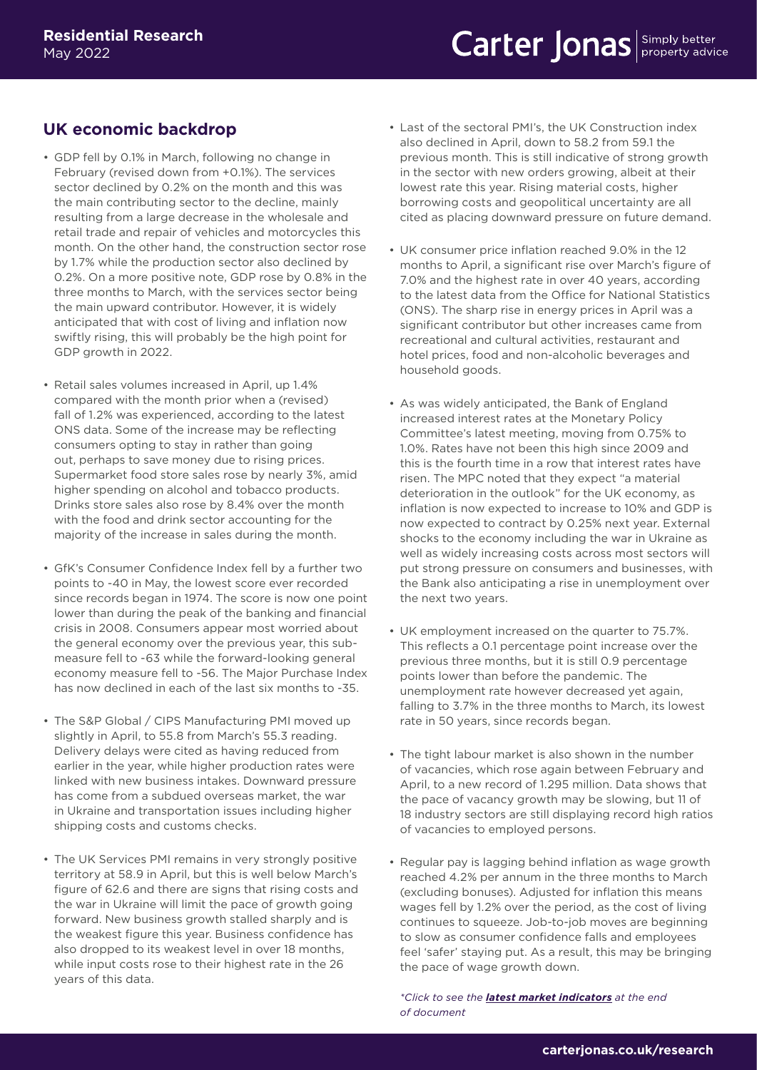## **UK economic backdrop**

- GDP fell by 0.1% in March, following no change in February (revised down from +0.1%). The services sector declined by 0.2% on the month and this was the main contributing sector to the decline, mainly resulting from a large decrease in the wholesale and retail trade and repair of vehicles and motorcycles this month. On the other hand, the construction sector rose by 1.7% while the production sector also declined by 0.2%. On a more positive note, GDP rose by 0.8% in the three months to March, with the services sector being the main upward contributor. However, it is widely anticipated that with cost of living and inflation now swiftly rising, this will probably be the high point for GDP growth in 2022.
- Retail sales volumes increased in April, up 1.4% compared with the month prior when a (revised) fall of 1.2% was experienced, according to the latest ONS data. Some of the increase may be reflecting consumers opting to stay in rather than going out, perhaps to save money due to rising prices. Supermarket food store sales rose by nearly 3%, amid higher spending on alcohol and tobacco products. Drinks store sales also rose by 8.4% over the month with the food and drink sector accounting for the majority of the increase in sales during the month.
- GfK's Consumer Confidence Index fell by a further two points to -40 in May, the lowest score ever recorded since records began in 1974. The score is now one point lower than during the peak of the banking and financial crisis in 2008. Consumers appear most worried about the general economy over the previous year, this submeasure fell to -63 while the forward-looking general economy measure fell to -56. The Major Purchase Index has now declined in each of the last six months to -35.
- The S&P Global / CIPS Manufacturing PMI moved up slightly in April, to 55.8 from March's 55.3 reading. Delivery delays were cited as having reduced from earlier in the year, while higher production rates were linked with new business intakes. Downward pressure has come from a subdued overseas market, the war in Ukraine and transportation issues including higher shipping costs and customs checks.
- The UK Services PMI remains in very strongly positive territory at 58.9 in April, but this is well below March's figure of 62.6 and there are signs that rising costs and the war in Ukraine will limit the pace of growth going forward. New business growth stalled sharply and is the weakest figure this year. Business confidence has also dropped to its weakest level in over 18 months, while input costs rose to their highest rate in the 26 years of this data.
- Last of the sectoral PMI's, the UK Construction index also declined in April, down to 58.2 from 59.1 the previous month. This is still indicative of strong growth in the sector with new orders growing, albeit at their lowest rate this year. Rising material costs, higher borrowing costs and geopolitical uncertainty are all cited as placing downward pressure on future demand.
- UK consumer price inflation reached 9.0% in the 12 months to April, a significant rise over March's figure of 7.0% and the highest rate in over 40 years, according to the latest data from the Office for National Statistics (ONS). The sharp rise in energy prices in April was a significant contributor but other increases came from recreational and cultural activities, restaurant and hotel prices, food and non-alcoholic beverages and household goods.
- As was widely anticipated, the Bank of England increased interest rates at the Monetary Policy Committee's latest meeting, moving from 0.75% to 1.0%. Rates have not been this high since 2009 and this is the fourth time in a row that interest rates have risen. The MPC noted that they expect "a material deterioration in the outlook" for the UK economy, as inflation is now expected to increase to 10% and GDP is now expected to contract by 0.25% next year. External shocks to the economy including the war in Ukraine as well as widely increasing costs across most sectors will put strong pressure on consumers and businesses, with the Bank also anticipating a rise in unemployment over the next two years.
- UK employment increased on the quarter to 75.7%. This reflects a 0.1 percentage point increase over the previous three months, but it is still 0.9 percentage points lower than before the pandemic. The unemployment rate however decreased yet again, falling to 3.7% in the three months to March, its lowest rate in 50 years, since records began.
- The tight labour market is also shown in the number of vacancies, which rose again between February and April, to a new record of 1.295 million. Data shows that the pace of vacancy growth may be slowing, but 11 of 18 industry sectors are still displaying record high ratios of vacancies to employed persons.
- Regular pay is lagging behind inflation as wage growth reached 4.2% per annum in the three months to March (excluding bonuses). Adjusted for inflation this means wages fell by 1.2% over the period, as the cost of living continues to squeeze. Job-to-job moves are beginning to slow as consumer confidence falls and employees feel 'safer' staying put. As a result, this may be bringing the pace of wage growth down.

*\*Click to see the [latest market indicators](#page-4-0) at the end [of document](#page-4-0)*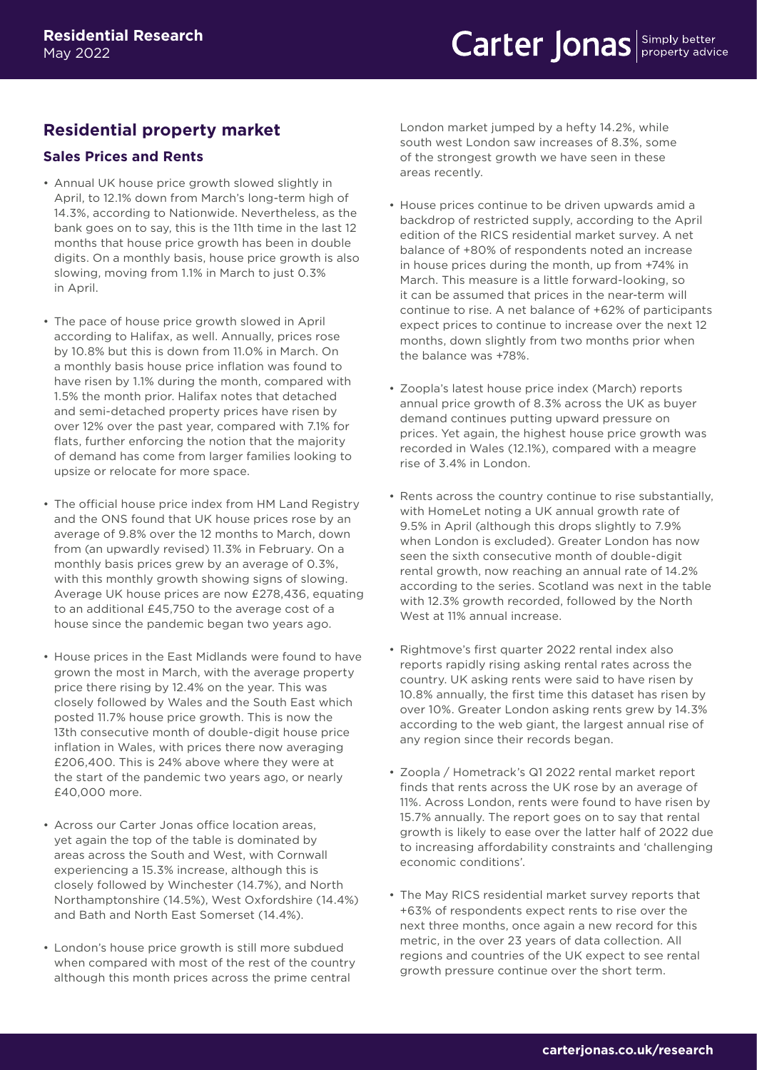## **Residential property market**

#### **Sales Prices and Rents**

- Annual UK house price growth slowed slightly in April, to 12.1% down from March's long-term high of 14.3%, according to Nationwide. Nevertheless, as the bank goes on to say, this is the 11th time in the last 12 months that house price growth has been in double digits. On a monthly basis, house price growth is also slowing, moving from 1.1% in March to just 0.3% in April.
- The pace of house price growth slowed in April according to Halifax, as well. Annually, prices rose by 10.8% but this is down from 11.0% in March. On a monthly basis house price inflation was found to have risen by 1.1% during the month, compared with 1.5% the month prior. Halifax notes that detached and semi-detached property prices have risen by over 12% over the past year, compared with 7.1% for flats, further enforcing the notion that the majority of demand has come from larger families looking to upsize or relocate for more space.
- The official house price index from HM Land Registry and the ONS found that UK house prices rose by an average of 9.8% over the 12 months to March, down from (an upwardly revised) 11.3% in February. On a monthly basis prices grew by an average of 0.3%, with this monthly growth showing signs of slowing. Average UK house prices are now £278,436, equating to an additional £45,750 to the average cost of a house since the pandemic began two years ago.
- House prices in the East Midlands were found to have grown the most in March, with the average property price there rising by 12.4% on the year. This was closely followed by Wales and the South East which posted 11.7% house price growth. This is now the 13th consecutive month of double-digit house price inflation in Wales, with prices there now averaging £206,400. This is 24% above where they were at the start of the pandemic two years ago, or nearly £40,000 more.
- Across our Carter Jonas office location areas, yet again the top of the table is dominated by areas across the South and West, with Cornwall experiencing a 15.3% increase, although this is closely followed by Winchester (14.7%), and North Northamptonshire (14.5%), West Oxfordshire (14.4%) and Bath and North East Somerset (14.4%).
- London's house price growth is still more subdued when compared with most of the rest of the country although this month prices across the prime central

London market jumped by a hefty 14.2%, while south west London saw increases of 8.3%, some of the strongest growth we have seen in these areas recently.

- House prices continue to be driven upwards amid a backdrop of restricted supply, according to the April edition of the RICS residential market survey. A net balance of +80% of respondents noted an increase in house prices during the month, up from +74% in March. This measure is a little forward-looking, so it can be assumed that prices in the near-term will continue to rise. A net balance of +62% of participants expect prices to continue to increase over the next 12 months, down slightly from two months prior when the balance was +78%.
- Zoopla's latest house price index (March) reports annual price growth of 8.3% across the UK as buyer demand continues putting upward pressure on prices. Yet again, the highest house price growth was recorded in Wales (12.1%), compared with a meagre rise of 3.4% in London.
- Rents across the country continue to rise substantially, with HomeLet noting a UK annual growth rate of 9.5% in April (although this drops slightly to 7.9% when London is excluded). Greater London has now seen the sixth consecutive month of double-digit rental growth, now reaching an annual rate of 14.2% according to the series. Scotland was next in the table with 12.3% growth recorded, followed by the North West at 11% annual increase.
- Rightmove's first quarter 2022 rental index also reports rapidly rising asking rental rates across the country. UK asking rents were said to have risen by 10.8% annually, the first time this dataset has risen by over 10%. Greater London asking rents grew by 14.3% according to the web giant, the largest annual rise of any region since their records began.
- Zoopla / Hometrack's Q1 2022 rental market report finds that rents across the UK rose by an average of 11%. Across London, rents were found to have risen by 15.7% annually. The report goes on to say that rental growth is likely to ease over the latter half of 2022 due to increasing affordability constraints and 'challenging economic conditions'.
- The May RICS residential market survey reports that +63% of respondents expect rents to rise over the next three months, once again a new record for this metric, in the over 23 years of data collection. All regions and countries of the UK expect to see rental growth pressure continue over the short term.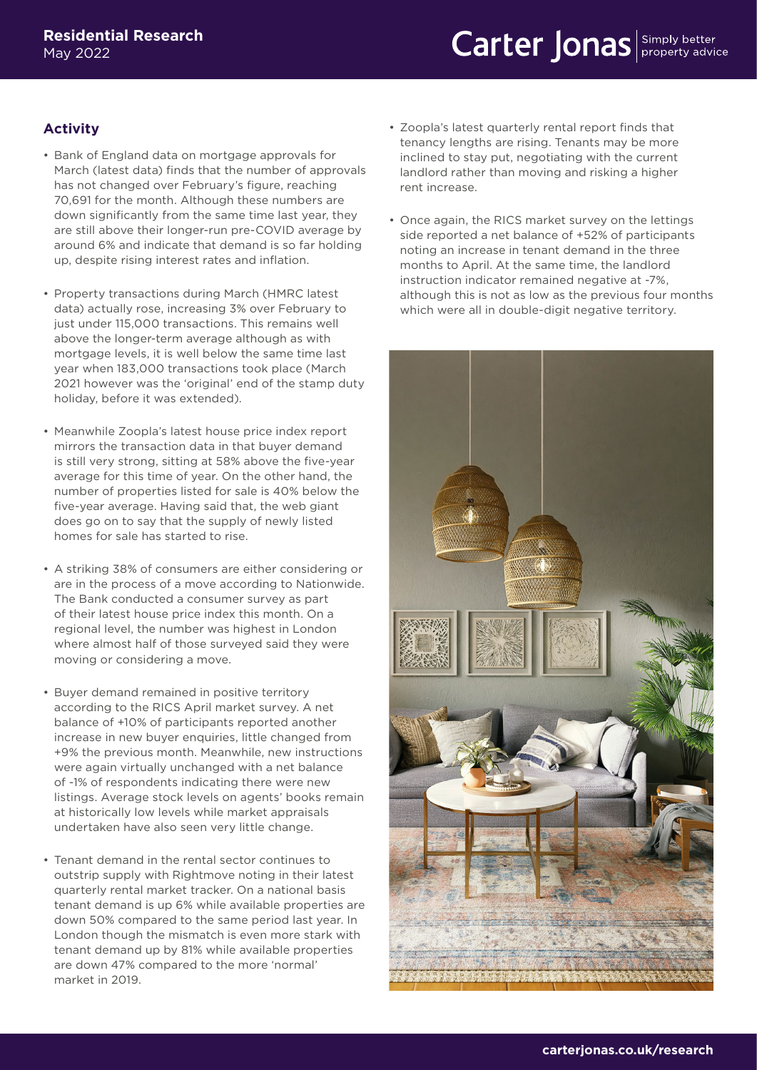#### **Activity**

- Bank of England data on mortgage approvals for March (latest data) finds that the number of approvals has not changed over February's figure, reaching 70,691 for the month. Although these numbers are down significantly from the same time last year, they are still above their longer-run pre-COVID average by around 6% and indicate that demand is so far holding up, despite rising interest rates and inflation.
- Property transactions during March (HMRC latest data) actually rose, increasing 3% over February to just under 115,000 transactions. This remains well above the longer-term average although as with mortgage levels, it is well below the same time last year when 183,000 transactions took place (March 2021 however was the 'original' end of the stamp duty holiday, before it was extended).
- Meanwhile Zoopla's latest house price index report mirrors the transaction data in that buyer demand is still very strong, sitting at 58% above the five-year average for this time of year. On the other hand, the number of properties listed for sale is 40% below the five-year average. Having said that, the web giant does go on to say that the supply of newly listed homes for sale has started to rise.
- A striking 38% of consumers are either considering or are in the process of a move according to Nationwide. The Bank conducted a consumer survey as part of their latest house price index this month. On a regional level, the number was highest in London where almost half of those surveyed said they were moving or considering a move.
- Buyer demand remained in positive territory according to the RICS April market survey. A net balance of +10% of participants reported another increase in new buyer enquiries, little changed from +9% the previous month. Meanwhile, new instructions were again virtually unchanged with a net balance of -1% of respondents indicating there were new listings. Average stock levels on agents' books remain at historically low levels while market appraisals undertaken have also seen very little change.
- Tenant demand in the rental sector continues to outstrip supply with Rightmove noting in their latest quarterly rental market tracker. On a national basis tenant demand is up 6% while available properties are down 50% compared to the same period last year. In London though the mismatch is even more stark with tenant demand up by 81% while available properties are down 47% compared to the more 'normal' market in 2019.
- Zoopla's latest quarterly rental report finds that tenancy lengths are rising. Tenants may be more inclined to stay put, negotiating with the current landlord rather than moving and risking a higher rent increase.
- Once again, the RICS market survey on the lettings side reported a net balance of +52% of participants noting an increase in tenant demand in the three months to April. At the same time, the landlord instruction indicator remained negative at -7%, although this is not as low as the previous four months which were all in double-digit negative territory.

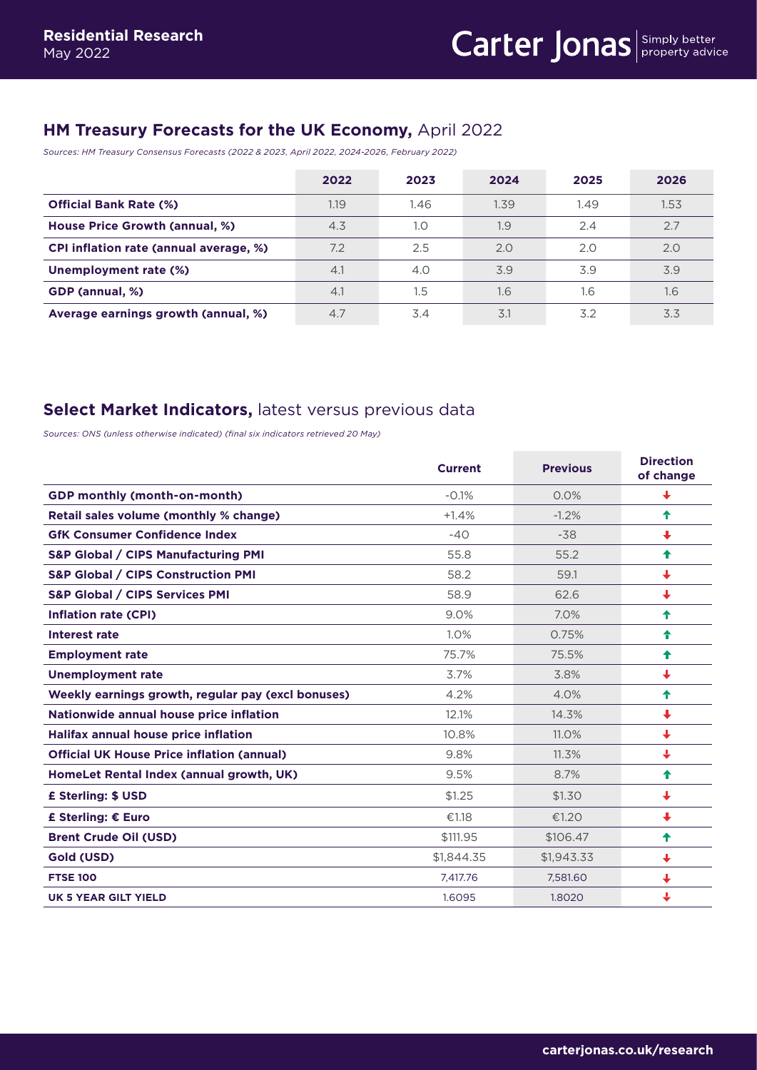## <span id="page-4-0"></span>**HM Treasury Forecasts for the UK Economy,** April 2022

*Sources: HM Treasury Consensus Forecasts (2022 & 2023, April 2022, 2024-2026, February 2022)*

|                                        | 2022 | 2023 | 2024 | 2025 | 2026 |
|----------------------------------------|------|------|------|------|------|
| <b>Official Bank Rate (%)</b>          | 1.19 | 1.46 | 1.39 | 1.49 | 1.53 |
| <b>House Price Growth (annual, %)</b>  | 4.3  | 1.0  | 1.9  | 2.4  | 2.7  |
| CPI inflation rate (annual average, %) | 7.2  | 2.5  | 2.0  | 2.0  | 2.0  |
| Unemployment rate (%)                  | 4.1  | 4.0  | 3.9  | 3.9  | 3.9  |
| GDP (annual, %)                        | 4.1  | 1.5  | 1.6  | 1.6  | 1.6  |
| Average earnings growth (annual, %)    | 4.7  | 3.4  | 3.1  | 3.2  | 3.3  |

### **Select Market Indicators,** latest versus previous data

*Sources: ONS (unless otherwise indicated) (final six indicators retrieved 20 May)*

|                                                    | <b>Current</b> | <b>Previous</b> | <b>Direction</b><br>of change |
|----------------------------------------------------|----------------|-----------------|-------------------------------|
| <b>GDP monthly (month-on-month)</b>                | $-0.1%$        | 0.0%            | ↓                             |
| Retail sales volume (monthly % change)             | $+1.4%$        | $-1.2%$         | ♠                             |
| <b>GfK Consumer Confidence Index</b>               | $-40$          | $-38$           | ↓                             |
| <b>S&amp;P Global / CIPS Manufacturing PMI</b>     | 55.8           | 55.2            | ♠                             |
| <b>S&amp;P Global / CIPS Construction PMI</b>      | 58.2           | 59.1            | ↓                             |
| <b>S&amp;P Global / CIPS Services PMI</b>          | 58.9           | 62.6            | ↓                             |
| <b>Inflation rate (CPI)</b>                        | 9.0%           | 7.0%            | ♠                             |
| Interest rate                                      | 1.0%           | 0.75%           | ↟                             |
| <b>Employment rate</b>                             | 75.7%          | 75.5%           | ♠                             |
| <b>Unemployment rate</b>                           | 3.7%           | 3.8%            | ↓                             |
| Weekly earnings growth, regular pay (excl bonuses) | 4.2%           | 4.0%            | ♠                             |
| Nationwide annual house price inflation            | 12.1%          | 14.3%           | ↓                             |
| <b>Halifax annual house price inflation</b>        | 10.8%          | 11.0%           | ₩                             |
| <b>Official UK House Price inflation (annual)</b>  | 9.8%           | 11.3%           | ↓                             |
| HomeLet Rental Index (annual growth, UK)           | 9.5%           | 8.7%            | ♠                             |
| £ Sterling: \$ USD                                 | \$1.25         | \$1.30          | ↓                             |
| £ Sterling: € Euro                                 | €1.18          | €1.20           | $\ddot{\phantom{0}}$          |
| <b>Brent Crude Oil (USD)</b>                       | \$111.95       | \$106.47        | ♠                             |
| Gold (USD)                                         | \$1,844.35     | \$1,943.33      | ↓                             |
| <b>FTSE 100</b>                                    | 7.417.76       | 7.581.60        | ↓                             |
| UK 5 YEAR GILT YIELD                               | 1.6095         | 1.8020          | J                             |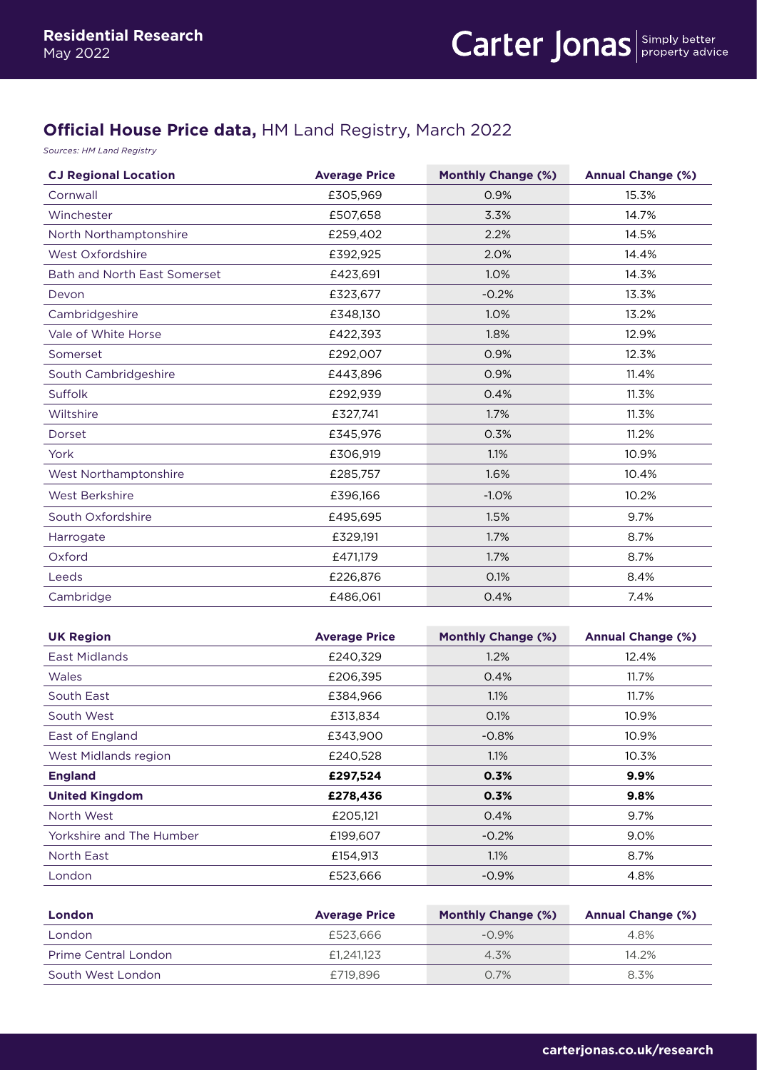## **Official House Price data,** HM Land Registry, March 2022

*Sources: HM Land Registry* 

| <b>CJ Regional Location</b>  | <b>Average Price</b> | <b>Monthly Change (%)</b> | <b>Annual Change (%)</b> |
|------------------------------|----------------------|---------------------------|--------------------------|
| Cornwall                     | £305,969             | 0.9%                      | 15.3%                    |
| Winchester                   | £507,658             | 3.3%                      | 14.7%                    |
| North Northamptonshire       | £259,402             | 2.2%                      | 14.5%                    |
| West Oxfordshire             | £392,925             | 2.0%                      | 14.4%                    |
| Bath and North East Somerset | £423,691             | 1.0%                      | 14.3%                    |
| Devon                        | £323,677             | $-0.2%$                   | 13.3%                    |
| Cambridgeshire               | £348,130             | 1.0%                      | 13.2%                    |
| Vale of White Horse          | £422,393             | 1.8%                      | 12.9%                    |
| Somerset                     | £292,007             | 0.9%                      | 12.3%                    |
| South Cambridgeshire         | £443,896             | 0.9%                      | 11.4%                    |
| <b>Suffolk</b>               | £292,939             | 0.4%                      | 11.3%                    |
| Wiltshire                    | £327,741             | 1.7%                      | 11.3%                    |
| Dorset                       | £345,976             | 0.3%                      | 11.2%                    |
| York                         | £306,919             | 1.1%                      | 10.9%                    |
| West Northamptonshire        | £285,757             | 1.6%                      | 10.4%                    |
| <b>West Berkshire</b>        | £396,166             | $-1.0%$                   | 10.2%                    |
| South Oxfordshire            | £495,695             | 1.5%                      | 9.7%                     |
| Harrogate                    | £329,191             | 1.7%                      | 8.7%                     |
| Oxford                       | £471,179             | 1.7%                      | 8.7%                     |
| Leeds                        | £226,876             | 0.1%                      | 8.4%                     |
| Cambridge                    | £486.061             | 0.4%                      | 7.4%                     |

| <b>UK Region</b>         | <b>Average Price</b> | <b>Monthly Change (%)</b> | <b>Annual Change (%)</b> |
|--------------------------|----------------------|---------------------------|--------------------------|
| East Midlands            | £240,329             | 1.2%                      | 12.4%                    |
| <b>Wales</b>             | £206,395             | 0.4%                      | 11.7%                    |
| South East               | £384,966             | $1.1\%$                   | 11.7%                    |
| South West               | £313,834             | 0.1%                      | 10.9%                    |
| East of England          | £343,900             | $-0.8%$                   | 10.9%                    |
| West Midlands region     | £240,528             | $1.1\%$                   | 10.3%                    |
| <b>England</b>           | £297,524             | 0.3%                      | $9.9\%$                  |
| <b>United Kingdom</b>    | £278,436             | 0.3%                      | 9.8%                     |
| North West               | £205,121             | 0.4%                      | 9.7%                     |
| Yorkshire and The Humber | £199,607             | $-0.2%$                   | 9.0%                     |
| North East               | £154,913             | 1.1%                      | 8.7%                     |
| London                   | £523,666             | $-0.9%$                   | 4.8%                     |

| <b>London</b>        | <b>Average Price</b> | <b>Monthly Change (%)</b> | <b>Annual Change (%)</b> |
|----------------------|----------------------|---------------------------|--------------------------|
| London               | £523,666             | $-0.9\%$                  | 4.8%                     |
| Prime Central London | £1.241.123           | 4.3%                      | 14.2%                    |
| South West London    | £719,896             | 0.7%                      | 8.3%                     |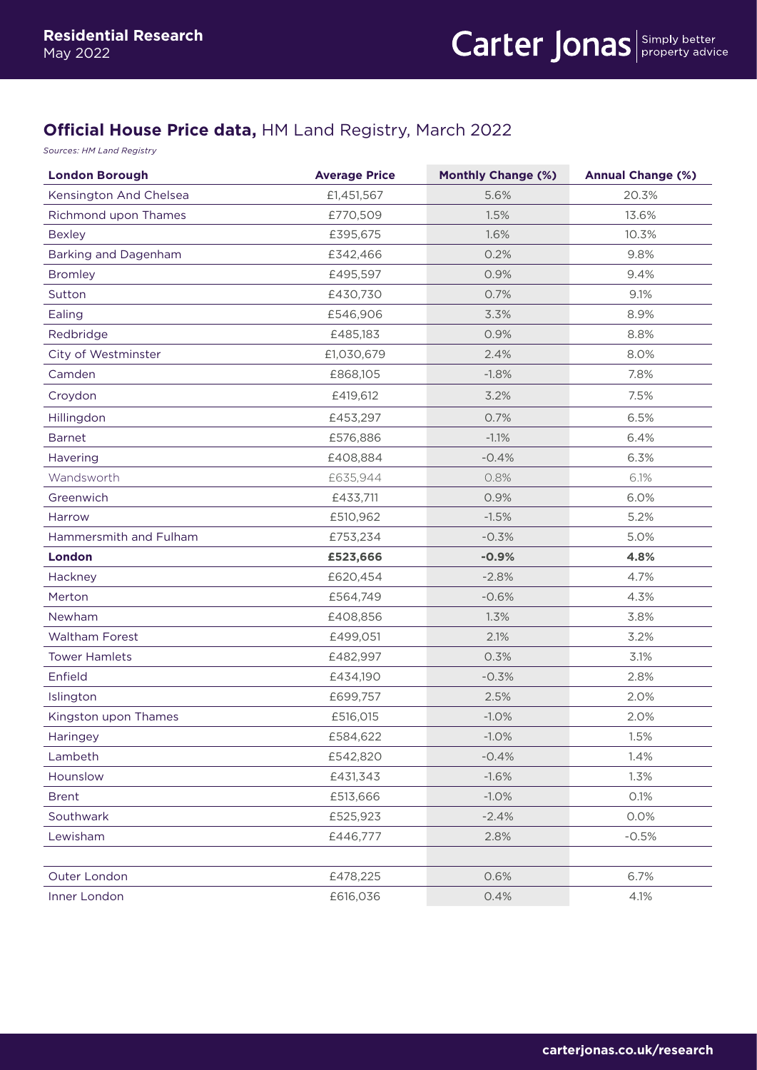## **Official House Price data,** HM Land Registry, March 2022

*Sources: HM Land Registry* 

| <b>London Borough</b>  | <b>Average Price</b> | <b>Monthly Change (%)</b> | <b>Annual Change (%)</b> |
|------------------------|----------------------|---------------------------|--------------------------|
| Kensington And Chelsea | £1,451,567           | 5.6%                      | 20.3%                    |
| Richmond upon Thames   | £770,509             | 1.5%                      | 13.6%                    |
| <b>Bexley</b>          | £395,675             | 1.6%                      | 10.3%                    |
| Barking and Dagenham   | £342,466             | 0.2%                      | 9.8%                     |
| <b>Bromley</b>         | £495,597             | 0.9%                      | 9.4%                     |
| Sutton                 | £430,730             | 0.7%                      | 9.1%                     |
| Ealing                 | £546,906             | 3.3%                      | 8.9%                     |
| Redbridge              | £485,183             | 0.9%                      | 8.8%                     |
| City of Westminster    | £1,030,679           | 2.4%                      | 8.0%                     |
| Camden                 | £868,105             | $-1.8%$                   | 7.8%                     |
| Croydon                | £419,612             | 3.2%                      | 7.5%                     |
| Hillingdon             | £453,297             | 0.7%                      | 6.5%                     |
| <b>Barnet</b>          | £576,886             | $-1.1%$                   | 6.4%                     |
| <b>Havering</b>        | £408,884             | $-0.4%$                   | 6.3%                     |
| Wandsworth             | £635,944             | 0.8%                      | 6.1%                     |
| Greenwich              | £433,711             | 0.9%                      | 6.0%                     |
| Harrow                 | £510,962             | $-1.5%$                   | 5.2%                     |
| Hammersmith and Fulham | £753,234             | $-0.3%$                   | 5.0%                     |
| London                 | £523,666             | $-0.9%$                   | 4.8%                     |
| Hackney                | £620,454             | $-2.8%$                   | 4.7%                     |
| Merton                 | £564,749             | $-0.6%$                   | 4.3%                     |
| Newham                 | £408,856             | 1.3%                      | 3.8%                     |
| <b>Waltham Forest</b>  | £499,051             | 2.1%                      | 3.2%                     |
| <b>Tower Hamlets</b>   | £482,997             | 0.3%                      | 3.1%                     |
| Enfield                | £434,190             | $-0.3%$                   | 2.8%                     |
| Islington              | £699,757             | 2.5%                      | 2.0%                     |
| Kingston upon Thames   | £516,015             | $-1.0%$                   | 2.0%                     |
| Haringey               | £584,622             | $-1.0%$                   | 1.5%                     |
| Lambeth                | £542,820             | $-0.4%$                   | 1.4%                     |
| Hounslow               | £431,343             | $-1.6%$                   | 1.3%                     |
| <b>Brent</b>           | £513,666             | $-1.0%$                   | 0.1%                     |
| Southwark              | £525,923             | $-2.4%$                   | 0.0%                     |
| Lewisham               | £446,777             | 2.8%                      | $-0.5%$                  |
| Outer London           | £478,225             | 0.6%                      | 6.7%                     |
| Inner London           | £616,036             | 0.4%                      | 4.1%                     |